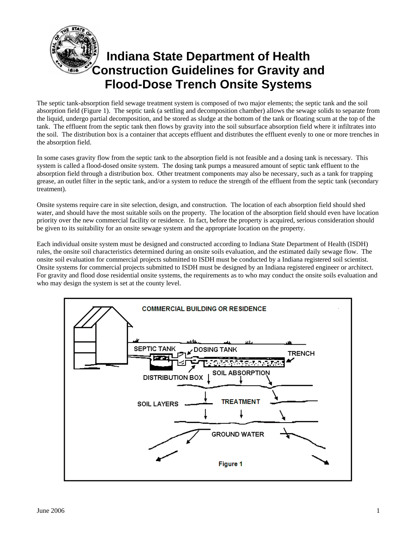

# **Indiana State Department of Health Construction Guidelines for Gravity and Flood-Dose Trench Onsite Systems**

The septic tank-absorption field sewage treatment system is composed of two major elements; the septic tank and the soil absorption field (Figure 1). The septic tank (a settling and decomposition chamber) allows the sewage solids to separate from the liquid, undergo partial decomposition, and be stored as sludge at the bottom of the tank or floating scum at the top of the tank. The effluent from the septic tank then flows by gravity into the soil subsurface absorption field where it infiltrates into the soil. The distribution box is a container that accepts effluent and distributes the effluent evenly to one or more trenches in the absorption field.

In some cases gravity flow from the septic tank to the absorption field is not feasible and a dosing tank is necessary. This system is called a flood-dosed onsite system. The dosing tank pumps a measured amount of septic tank effluent to the absorption field through a distribution box. Other treatment components may also be necessary, such as a tank for trapping grease, an outlet filter in the septic tank, and/or a system to reduce the strength of the effluent from the septic tank (secondary treatment).

Onsite systems require care in site selection, design, and construction. The location of each absorption field should shed water, and should have the most suitable soils on the property. The location of the absorption field should even have location priority over the new commercial facility or residence. In fact, before the property is acquired, serious consideration should be given to its suitability for an onsite sewage system and the appropriate location on the property.

Each individual onsite system must be designed and constructed according to Indiana State Department of Health (ISDH) rules, the onsite soil characteristics determined during an onsite soils evaluation, and the estimated daily sewage flow. The onsite soil evaluation for commercial projects submitted to ISDH must be conducted by a Indiana registered soil scientist. Onsite systems for commercial projects submitted to ISDH must be designed by an Indiana registered engineer or architect. For gravity and flood dose residential onsite systems, the requirements as to who may conduct the onsite soils evaluation and who may design the system is set at the county level.

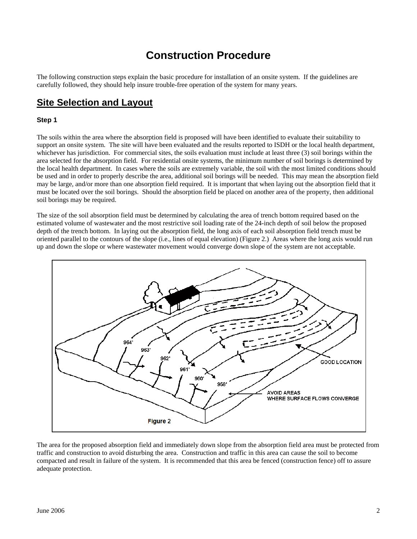# **Construction Procedure**

The following construction steps explain the basic procedure for installation of an onsite system. If the guidelines are carefully followed, they should help insure trouble-free operation of the system for many years.

## **Site Selection and Layout**

#### **Step 1**

The soils within the area where the absorption field is proposed will have been identified to evaluate their suitability to support an onsite system. The site will have been evaluated and the results reported to ISDH or the local health department, whichever has jurisdiction. For commercial sites, the soils evaluation must include at least three (3) soil borings within the area selected for the absorption field. For residential onsite systems, the minimum number of soil borings is determined by the local health department. In cases where the soils are extremely variable, the soil with the most limited conditions should be used and in order to properly describe the area, additional soil borings will be needed. This may mean the absorption field may be large, and/or more than one absorption field required. It is important that when laying out the absorption field that it must be located over the soil borings. Should the absorption field be placed on another area of the property, then additional soil borings may be required.

The size of the soil absorption field must be determined by calculating the area of trench bottom required based on the estimated volume of wastewater and the most restrictive soil loading rate of the 24-inch depth of soil below the proposed depth of the trench bottom. In laying out the absorption field, the long axis of each soil absorption field trench must be oriented parallel to the contours of the slope (i.e., lines of equal elevation) (Figure 2.) Areas where the long axis would run up and down the slope or where wastewater movement would converge down slope of the system are not acceptable.



The area for the proposed absorption field and immediately down slope from the absorption field area must be protected from traffic and construction to avoid disturbing the area. Construction and traffic in this area can cause the soil to become compacted and result in failure of the system. It is recommended that this area be fenced (construction fence) off to assure adequate protection.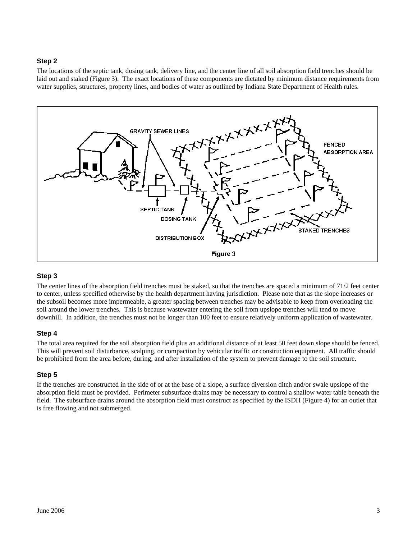### **Step 2**

The locations of the septic tank, dosing tank, delivery line, and the center line of all soil absorption field trenches should be laid out and staked (Figure 3). The exact locations of these components are dictated by minimum distance requirements from water supplies, structures, property lines, and bodies of water as outlined by Indiana State Department of Health rules.



#### **Step 3**

The center lines of the absorption field trenches must be staked, so that the trenches are spaced a minimum of 71/2 feet center to center, unless specified otherwise by the health department having jurisdiction. Please note that as the slope increases or the subsoil becomes more impermeable, a greater spacing between trenches may be advisable to keep from overloading the soil around the lower trenches. This is because wastewater entering the soil from upslope trenches will tend to move downhill. In addition, the trenches must not be longer than 100 feet to ensure relatively uniform application of wastewater.

#### **Step 4**

The total area required for the soil absorption field plus an additional distance of at least 50 feet down slope should be fenced. This will prevent soil disturbance, scalping, or compaction by vehicular traffic or construction equipment. All traffic should be prohibited from the area before, during, and after installation of the system to prevent damage to the soil structure.

#### **Step 5**

If the trenches are constructed in the side of or at the base of a slope, a surface diversion ditch and/or swale upslope of the absorption field must be provided. Perimeter subsurface drains may be necessary to control a shallow water table beneath the field. The subsurface drains around the absorption field must construct as specified by the ISDH (Figure 4) for an outlet that is free flowing and not submerged.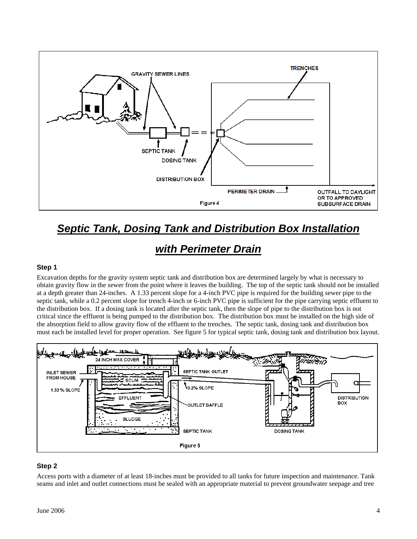

# *Septic Tank, Dosing Tank and Distribution Box Installation*

# *with Perimeter Drain*

#### **Step 1**

Excavation depths for the gravity system septic tank and distribution box are determined largely by what is necessary to obtain gravity flow in the sewer from the point where it leaves the building. The top of the septic tank should not be installed at a depth greater than 24-inches. A 1.33 percent slope for a 4-inch PVC pipe is required for the building sewer pipe to the septic tank, while a 0.2 percent slope for trench 4-inch or 6-inch PVC pipe is sufficient for the pipe carrying septic effluent to the distribution box. If a dosing tank is located after the septic tank, then the slope of pipe to the distribution box is not critical since the effluent is being pumped to the distribution box. The distribution box must be installed on the high side of the absorption field to allow gravity flow of the effluent to the trenches. The septic tank, dosing tank and distribution box must each be installed level for proper operation. See figure 5 for typical septic tank, dosing tank and distribution box layout.



#### **Step 2**

Access ports with a diameter of at least 18-inches must be provided to all tanks for future inspection and maintenance. Tank seams and inlet and outlet connections must be sealed with an appropriate material to prevent groundwater seepage and tree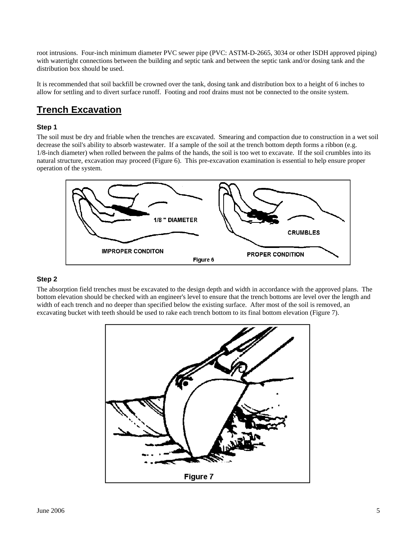root intrusions. Four-inch minimum diameter PVC sewer pipe (PVC: ASTM-D-2665, 3034 or other ISDH approved piping) with watertight connections between the building and septic tank and between the septic tank and/or dosing tank and the distribution box should be used.

It is recommended that soil backfill be crowned over the tank, dosing tank and distribution box to a height of 6 inches to allow for settling and to divert surface runoff. Footing and roof drains must not be connected to the onsite system.

## **Trench Excavation**

## **Step 1**

The soil must be dry and friable when the trenches are excavated. Smearing and compaction due to construction in a wet soil decrease the soil's ability to absorb wastewater. If a sample of the soil at the trench bottom depth forms a ribbon (e.g. 1/8-inch diameter) when rolled between the palms of the hands, the soil is too wet to excavate. If the soil crumbles into its natural structure, excavation may proceed (Figure 6). This pre-excavation examination is essential to help ensure proper operation of the system.



### **Step 2**

The absorption field trenches must be excavated to the design depth and width in accordance with the approved plans. The bottom elevation should be checked with an engineer's level to ensure that the trench bottoms are level over the length and width of each trench and no deeper than specified below the existing surface. After most of the soil is removed, an excavating bucket with teeth should be used to rake each trench bottom to its final bottom elevation (Figure 7).

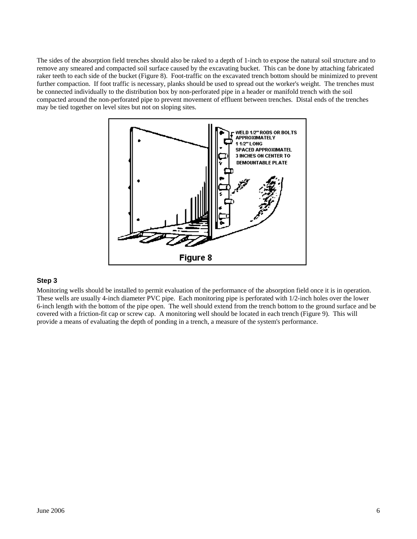The sides of the absorption field trenches should also be raked to a depth of 1-inch to expose the natural soil structure and to remove any smeared and compacted soil surface caused by the excavating bucket. This can be done by attaching fabricated raker teeth to each side of the bucket (Figure 8). Foot-traffic on the excavated trench bottom should be minimized to prevent further compaction. If foot traffic is necessary, planks should be used to spread out the worker's weight. The trenches must be connected individually to the distribution box by non-perforated pipe in a header or manifold trench with the soil compacted around the non-perforated pipe to prevent movement of effluent between trenches. Distal ends of the trenches may be tied together on level sites but not on sloping sites.



#### **Step 3**

Monitoring wells should be installed to permit evaluation of the performance of the absorption field once it is in operation. These wells are usually 4-inch diameter PVC pipe. Each monitoring pipe is perforated with 1/2-inch holes over the lower 6-inch length with the bottom of the pipe open. The well should extend from the trench bottom to the ground surface and be covered with a friction-fit cap or screw cap. A monitoring well should be located in each trench (Figure 9). This will provide a means of evaluating the depth of ponding in a trench, a measure of the system's performance.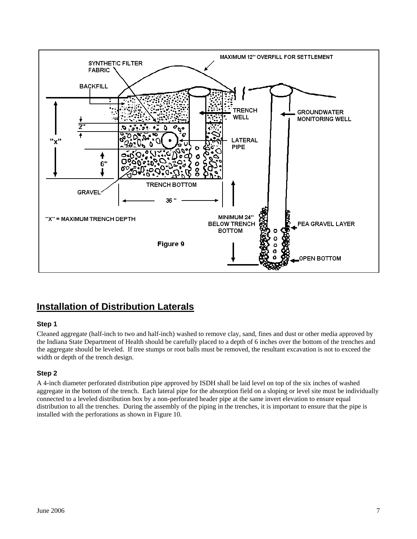

# **Installation of Distribution Laterals**

## **Step 1**

Cleaned aggregate (half-inch to two and half-inch) washed to remove clay, sand, fines and dust or other media approved by the Indiana State Department of Health should be carefully placed to a depth of 6 inches over the bottom of the trenches and the aggregate should be leveled. If tree stumps or root balls must be removed, the resultant excavation is not to exceed the width or depth of the trench design.

### **Step 2**

A 4-inch diameter perforated distribution pipe approved by ISDH shall be laid level on top of the six inches of washed aggregate in the bottom of the trench. Each lateral pipe for the absorption field on a sloping or level site must be individually connected to a leveled distribution box by a non-perforated header pipe at the same invert elevation to ensure equal distribution to all the trenches. During the assembly of the piping in the trenches, it is important to ensure that the pipe is installed with the perforations as shown in Figure 10.